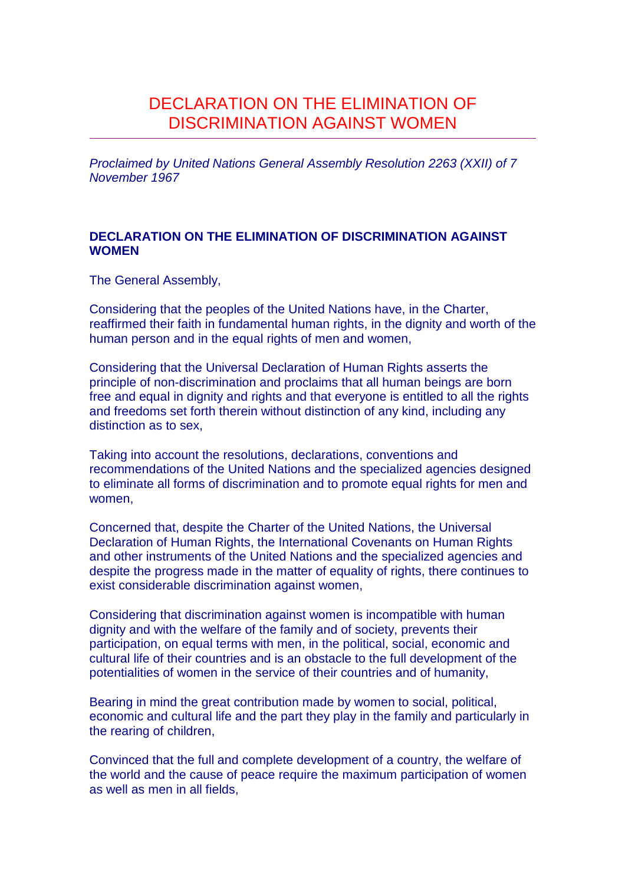# DECLARATION ON THE ELIMINATION OF DISCRIMINATION AGAINST WOMEN

Proclaimed by United Nations General Assembly Resolution 2263 (XXII) of 7 November 1967

## **DECLARATION ON THE ELIMINATION OF DISCRIMINATION AGAINST WOMEN**

The General Assembly,

Considering that the peoples of the United Nations have, in the Charter, reaffirmed their faith in fundamental human rights, in the dignity and worth of the human person and in the equal rights of men and women,

Considering that the Universal Declaration of Human Rights asserts the principle of non-discrimination and proclaims that all human beings are born free and equal in dignity and rights and that everyone is entitled to all the rights and freedoms set forth therein without distinction of any kind, including any distinction as to sex,

Taking into account the resolutions, declarations, conventions and recommendations of the United Nations and the specialized agencies designed to eliminate all forms of discrimination and to promote equal rights for men and women,

Concerned that, despite the Charter of the United Nations, the Universal Declaration of Human Rights, the International Covenants on Human Rights and other instruments of the United Nations and the specialized agencies and despite the progress made in the matter of equality of rights, there continues to exist considerable discrimination against women,

Considering that discrimination against women is incompatible with human dignity and with the welfare of the family and of society, prevents their participation, on equal terms with men, in the political, social, economic and cultural life of their countries and is an obstacle to the full development of the potentialities of women in the service of their countries and of humanity,

Bearing in mind the great contribution made by women to social, political, economic and cultural life and the part they play in the family and particularly in the rearing of children,

Convinced that the full and complete development of a country, the welfare of the world and the cause of peace require the maximum participation of women as well as men in all fields,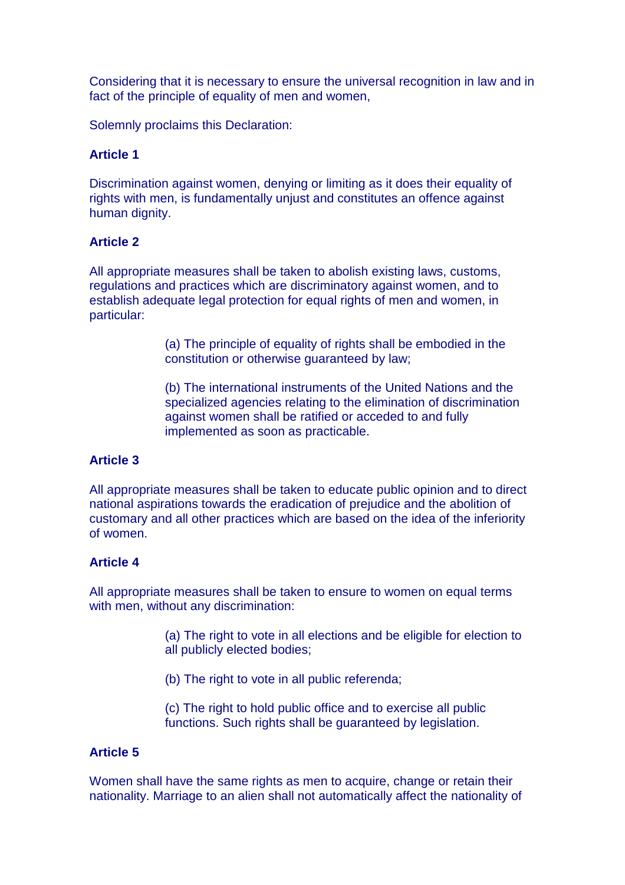Considering that it is necessary to ensure the universal recognition in law and in fact of the principle of equality of men and women,

Solemnly proclaims this Declaration:

# **Article 1**

Discrimination against women, denying or limiting as it does their equality of rights with men, is fundamentally unjust and constitutes an offence against human dignity.

## **Article 2**

All appropriate measures shall be taken to abolish existing laws, customs, regulations and practices which are discriminatory against women, and to establish adequate legal protection for equal rights of men and women, in particular:

> (a) The principle of equality of rights shall be embodied in the constitution or otherwise guaranteed by law;

(b) The international instruments of the United Nations and the specialized agencies relating to the elimination of discrimination against women shall be ratified or acceded to and fully implemented as soon as practicable.

#### **Article 3**

All appropriate measures shall be taken to educate public opinion and to direct national aspirations towards the eradication of prejudice and the abolition of customary and all other practices which are based on the idea of the inferiority of women.

## **Article 4**

All appropriate measures shall be taken to ensure to women on equal terms with men, without any discrimination:

> (a) The right to vote in all elections and be eligible for election to all publicly elected bodies;

(b) The right to vote in all public referenda;

(c) The right to hold public office and to exercise all public functions. Such rights shall be guaranteed by legislation.

### **Article 5**

Women shall have the same rights as men to acquire, change or retain their nationality. Marriage to an alien shall not automatically affect the nationality of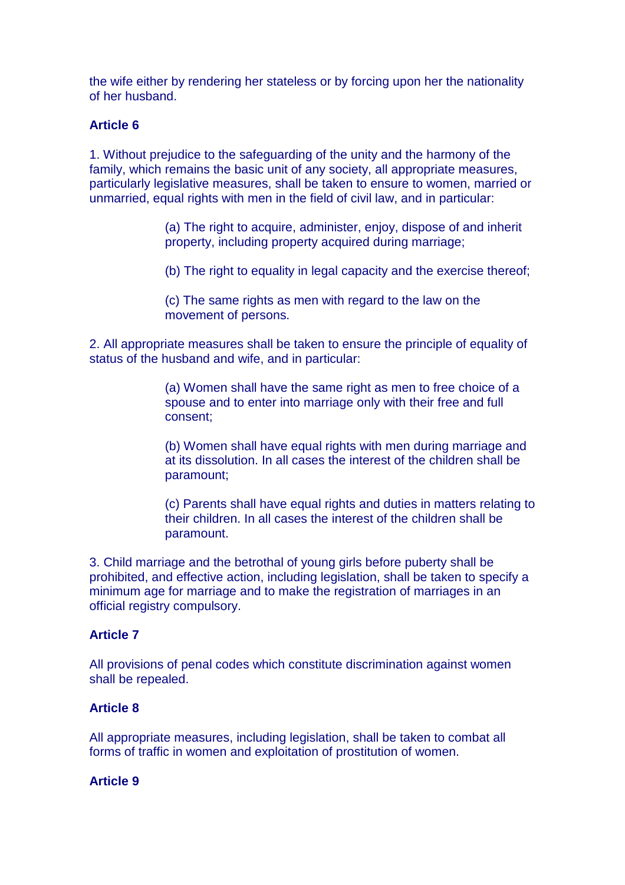the wife either by rendering her stateless or by forcing upon her the nationality of her husband.

# **Article 6**

1. Without prejudice to the safeguarding of the unity and the harmony of the family, which remains the basic unit of any society, all appropriate measures, particularly legislative measures, shall be taken to ensure to women, married or unmarried, equal rights with men in the field of civil law, and in particular:

> (a) The right to acquire, administer, enjoy, dispose of and inherit property, including property acquired during marriage;

(b) The right to equality in legal capacity and the exercise thereof;

(c) The same rights as men with regard to the law on the movement of persons.

2. All appropriate measures shall be taken to ensure the principle of equality of status of the husband and wife, and in particular:

> (a) Women shall have the same right as men to free choice of a spouse and to enter into marriage only with their free and full consent;

(b) Women shall have equal rights with men during marriage and at its dissolution. In all cases the interest of the children shall be paramount;

(c) Parents shall have equal rights and duties in matters relating to their children. In all cases the interest of the children shall be paramount.

3. Child marriage and the betrothal of young girls before puberty shall be prohibited, and effective action, including legislation, shall be taken to specify a minimum age for marriage and to make the registration of marriages in an official registry compulsory.

# **Article 7**

All provisions of penal codes which constitute discrimination against women shall be repealed.

# **Article 8**

All appropriate measures, including legislation, shall be taken to combat all forms of traffic in women and exploitation of prostitution of women.

# **Article 9**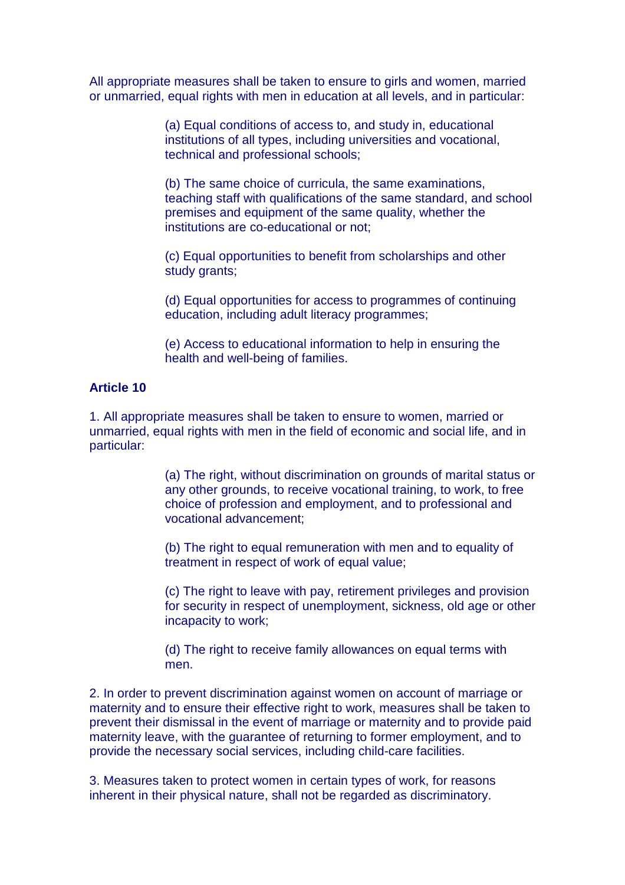All appropriate measures shall be taken to ensure to girls and women, married or unmarried, equal rights with men in education at all levels, and in particular:

> (a) Equal conditions of access to, and study in, educational institutions of all types, including universities and vocational, technical and professional schools;

(b) The same choice of curricula, the same examinations, teaching staff with qualifications of the same standard, and school premises and equipment of the same quality, whether the institutions are co-educational or not;

(c) Equal opportunities to benefit from scholarships and other study grants;

(d) Equal opportunities for access to programmes of continuing education, including adult literacy programmes;

(e) Access to educational information to help in ensuring the health and well-being of families.

## **Article 10**

1. All appropriate measures shall be taken to ensure to women, married or unmarried, equal rights with men in the field of economic and social life, and in particular:

> (a) The right, without discrimination on grounds of marital status or any other grounds, to receive vocational training, to work, to free choice of profession and employment, and to professional and vocational advancement;

(b) The right to equal remuneration with men and to equality of treatment in respect of work of equal value;

(c) The right to leave with pay, retirement privileges and provision for security in respect of unemployment, sickness, old age or other incapacity to work;

(d) The right to receive family allowances on equal terms with men.

2. In order to prevent discrimination against women on account of marriage or maternity and to ensure their effective right to work, measures shall be taken to prevent their dismissal in the event of marriage or maternity and to provide paid maternity leave, with the guarantee of returning to former employment, and to provide the necessary social services, including child-care facilities.

3. Measures taken to protect women in certain types of work, for reasons inherent in their physical nature, shall not be regarded as discriminatory.